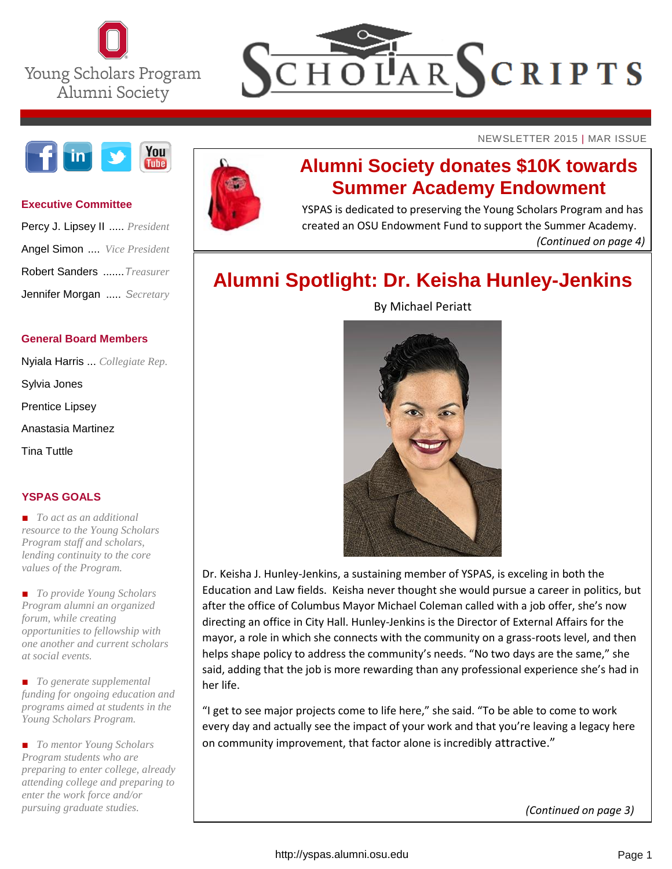



NEWSLETTER 2015 | MAR ISSUE



#### **Executive Committee**

| Percy J. Lipsey II  President |
|-------------------------------|
| Angel Simon  Vice President   |
| Robert Sanders  Treasurer     |
| Jennifer Morgan  Secretary    |

#### **General Board Members**

Nyiala Harris ... *Collegiate Rep.* Sylvia Jones Prentice Lipsey Anastasia Martinez Tina Tuttle

#### **YSPAS GOALS**

*■ To act as an additional resource to the Young Scholars Program staff and scholars, lending continuity to the core values of the Program.*

*■ To provide Young Scholars Program alumni an organized forum, while creating opportunities to fellowship with one another and current scholars at social events.*

*■ To generate supplemental funding for ongoing education and programs aimed at students in the Young Scholars Program.* 

*■ To mentor Young Scholars Program students who are preparing to enter college, already attending college and preparing to enter the work force and/or pursuing graduate studies.*



### **Alumni Society donates \$10K towards Summer Academy Endowment**

YSPAS is dedicated to preserving the Young Scholars Program and has created an OSU Endowment Fund to support the Summer Academy. *(Continued on page 4)*

### **Alumni Spotlight: Dr. Keisha Hunley-Jenkins**



By [Michael Periatt](http://moritzlaw.osu.edu/news/allrise/author/michael-periatt/)

Dr. Keisha J. Hunley-Jenkins, a sustaining member of YSPAS, is exceling in both the Education and Law fields. Keisha never thought she would pursue a career in politics, but after the office of Columbus Mayor Michael Coleman called with a job offer, she's now directing an office in City Hall. Hunley-Jenkins is the Director of External Affairs for the mayor, a role in which she connects with the community on a grass-roots level, and then helps shape policy to address the community's needs. "No two days are the same," she said, adding that the job is more rewarding than any professional experience she's had in her life.

"I get to see major projects come to life here," she said. "To be able to come to work every day and actually see the impact of your work and that you're leaving a legacy here on community improvement, that factor alone is incredibly attractive."

*(Continued on page 3)*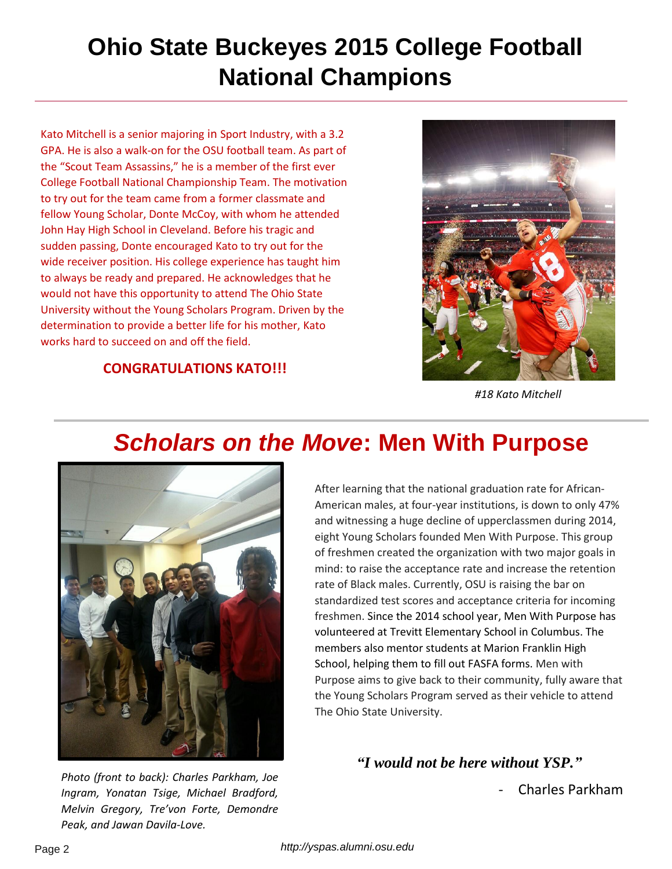# **Ohio State Buckeyes 2015 College Football National Champions**

Kato Mitchell is a senior majoring in Sport Industry, with a 3.2 GPA. He is also a walk-on for the OSU football team. As part of the "Scout Team Assassins," he is a member of the first ever College Football National Championship Team. The motivation to try out for the team came from a former classmate and fellow Young Scholar, Donte McCoy, with whom he attended John Hay High School in Cleveland. Before his tragic and sudden passing, Donte encouraged Kato to try out for the wide receiver position. His college experience has taught him to always be ready and prepared. He acknowledges that he would not have this opportunity to attend The Ohio State University without the Young Scholars Program. Driven by the determination to provide a better life for his mother, Kato works hard to succeed on and off the field.

#### **CONGRATULATIONS KATO!!!**



*#18 Kato Mitchell*

## *Scholars on the Move***: Men With Purpose**



*Photo (front to back): Charles Parkham, Joe Ingram, Yonatan Tsige, Michael Bradford, Melvin Gregory, Tre'von Forte, Demondre Peak, and Jawan Davila-Love.*

After learning that the national graduation rate for African-American males, at four-year institutions, is down to only 47% and witnessing a huge decline of upperclassmen during 2014, eight Young Scholars founded Men With Purpose. This group of freshmen created the organization with two major goals in mind: to raise the acceptance rate and increase the retention rate of Black males. Currently, OSU is raising the bar on standardized test scores and acceptance criteria for incoming freshmen. Since the 2014 school year, Men With Purpose has volunteered at Trevitt Elementary School in Columbus. The members also mentor students at Marion Franklin High School, helping them to fill out FASFA forms. Men with Purpose aims to give back to their community, fully aware that the Young Scholars Program served as their vehicle to attend The Ohio State University.

*"I would not be here without YSP."*

- Charles Parkham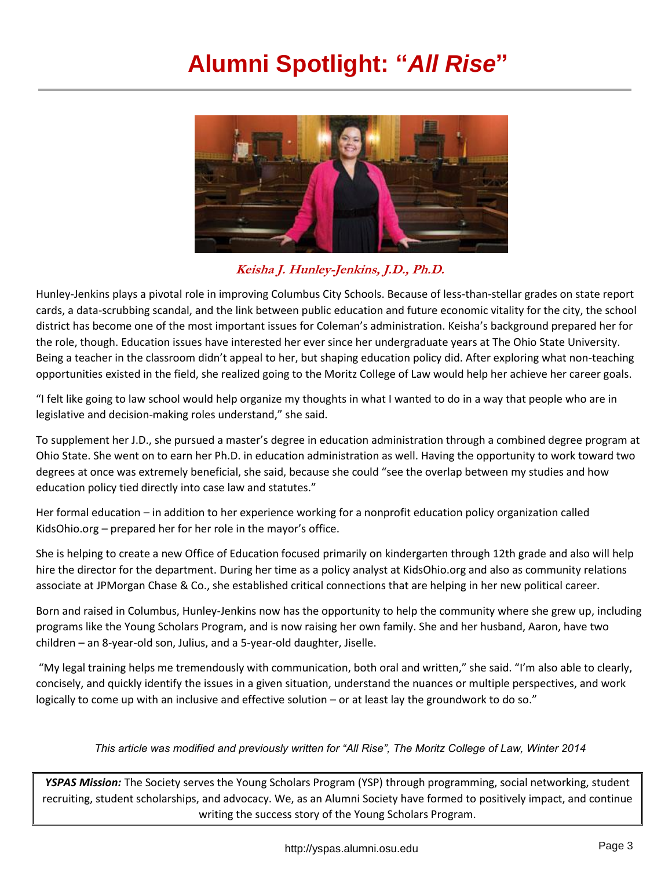## **Alumni Spotlight: "***All Rise***"**



### **Keisha J. Hunley-Jenkins, J.D., Ph.D.**

Hunley-Jenkins plays a pivotal role in improving Columbus City Schools. Because of less-than-stellar grades on state report cards, a data-scrubbing scandal, and the link between public education and future economic vitality for the city, the school district has become one of the most important issues for Coleman's administration. Keisha's background prepared her for the role, though. Education issues have interested her ever since her undergraduate years at The Ohio State University. Being a teacher in the classroom didn't appeal to her, but shaping education policy did. After exploring what non-teaching opportunities existed in the field, she realized going to the Moritz College of Law would help her achieve her career goals.

"I felt like going to law school would help organize my thoughts in what I wanted to do in a way that people who are in legislative and decision-making roles understand," she said.

To supplement her J.D., she pursued a master's degree in education administration through a combined degree program at Ohio State. She went on to earn her Ph.D. in education administration as well. Having the opportunity to work toward two degrees at once was extremely beneficial, she said, because she could "see the overlap between my studies and how education policy tied directly into case law and statutes."

Her formal education – in addition to her experience working for a nonprofit education policy organization called KidsOhio.org – prepared her for her role in the mayor's office.

She is helping to create a new Office of Education focused primarily on kindergarten through 12th grade and also will help hire the director for the department. During her time as a policy analyst at KidsOhio.org and also as community relations associate at JPMorgan Chase & Co., she established critical connections that are helping in her new political career.

Born and raised in Columbus, Hunley-Jenkins now has the opportunity to help the community where she grew up, including programs like the Young Scholars Program, and is now raising her own family. She and her husband, Aaron, have two children – an 8-year-old son, Julius, and a 5-year-old daughter, Jiselle.

"My legal training helps me tremendously with communication, both oral and written," she said. "I'm also able to clearly, concisely, and quickly identify the issues in a given situation, understand the nuances or multiple perspectives, and work logically to come up with an inclusive and effective solution – or at least lay the groundwork to do so."

#### *This article was modified and previously written for "All Rise", The Moritz College of Law, Winter 2014*

*YSPAS Mission:* The Society serves the Young Scholars Program (YSP) through programming, social networking, student recruiting, student scholarships, and advocacy. We, as an Alumni Society have formed to positively impact, and continue writing the success story of the Young Scholars Program.